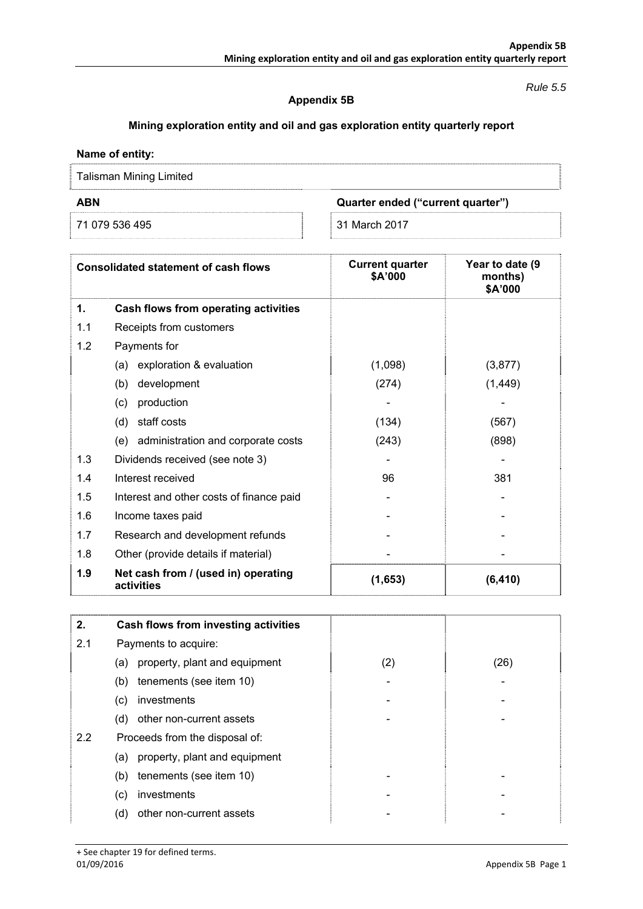### *Rule 5.5*

## **Appendix 5B**

# **Mining exploration entity and oil and gas exploration entity quarterly report**

# **Name of entity:**

Talisman Mining Limited

71 079 536 495 31 March 2017

**ABN Quarter ended ("current quarter")** 

| <b>Consolidated statement of cash flows</b> |                                                   | <b>Current quarter</b><br>\$A'000 | Year to date (9<br>months)<br>\$A'000 |
|---------------------------------------------|---------------------------------------------------|-----------------------------------|---------------------------------------|
| 1.                                          | Cash flows from operating activities              |                                   |                                       |
| 1.1                                         | Receipts from customers                           |                                   |                                       |
| 1.2                                         | Payments for                                      |                                   |                                       |
|                                             | exploration & evaluation<br>(a)                   | (1,098)                           | (3, 877)                              |
|                                             | (b)<br>development                                | (274)                             | (1, 449)                              |
|                                             | production<br>(c)                                 |                                   |                                       |
|                                             | (d)<br>staff costs                                | (134)                             | (567)                                 |
|                                             | administration and corporate costs<br>(e)         | (243)                             | (898)                                 |
| 1.3                                         | Dividends received (see note 3)                   |                                   |                                       |
| 1.4                                         | Interest received                                 | 96                                | 381                                   |
| 1.5                                         | Interest and other costs of finance paid          |                                   |                                       |
| 1.6                                         | Income taxes paid                                 |                                   |                                       |
| 1.7                                         | Research and development refunds                  |                                   |                                       |
| 1.8                                         | Other (provide details if material)               |                                   |                                       |
| 1.9                                         | Net cash from / (used in) operating<br>activities | (1,653)                           | (6, 410)                              |

| 2.  | Cash flows from investing activities |     |      |
|-----|--------------------------------------|-----|------|
| 2.1 | Payments to acquire:                 |     |      |
|     | property, plant and equipment<br>(a) | (2) | (26) |
|     | tenements (see item 10)<br>(b)       |     |      |
|     | investments<br>(c)                   |     |      |
|     | other non-current assets<br>(d)      |     |      |
| 2.2 | Proceeds from the disposal of:       |     |      |
|     | property, plant and equipment<br>(a) |     |      |
|     | tenements (see item 10)<br>(b)       |     |      |
|     | investments<br>(c)                   |     |      |
|     | (d)<br>other non-current assets      |     |      |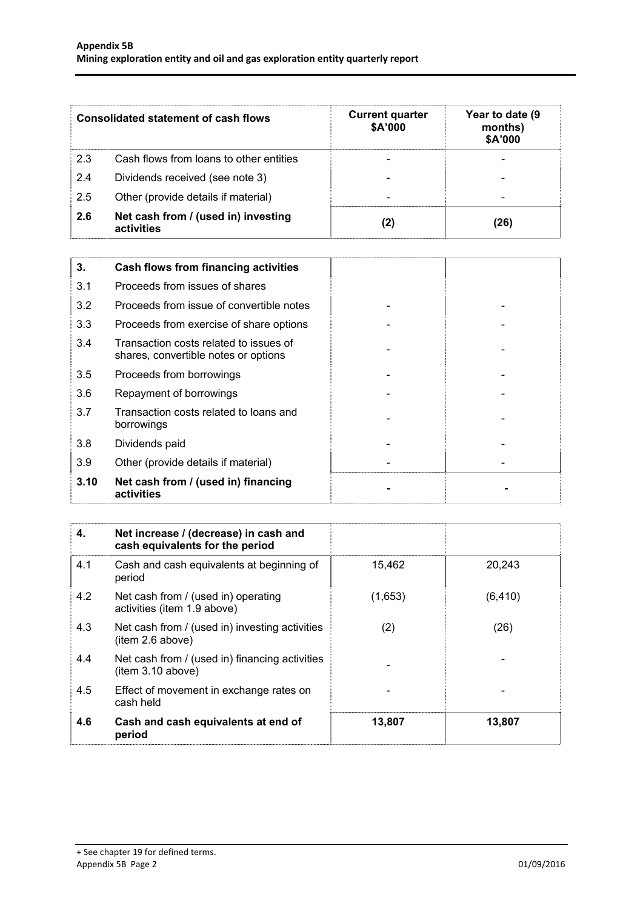| <b>Consolidated statement of cash flows</b> |                                                   | <b>Current quarter</b><br>\$A'000 | Year to date (9<br>months)<br>\$A'000 |
|---------------------------------------------|---------------------------------------------------|-----------------------------------|---------------------------------------|
| 2.3                                         | Cash flows from loans to other entities           |                                   |                                       |
| 2.4                                         | Dividends received (see note 3)                   |                                   |                                       |
| 2.5                                         | Other (provide details if material)               | $\overline{\phantom{0}}$          |                                       |
| 2.6                                         | Net cash from / (used in) investing<br>activities | (2)                               | (26)                                  |

| 3.   | Cash flows from financing activities                                           |  |
|------|--------------------------------------------------------------------------------|--|
| 3.1  | Proceeds from issues of shares                                                 |  |
| 3.2  | Proceeds from issue of convertible notes                                       |  |
| 3.3  | Proceeds from exercise of share options                                        |  |
| 3.4  | Transaction costs related to issues of<br>shares, convertible notes or options |  |
| 3.5  | Proceeds from borrowings                                                       |  |
| 3.6  | Repayment of borrowings                                                        |  |
| 3.7  | Transaction costs related to loans and<br>borrowings                           |  |
| 3.8  | Dividends paid                                                                 |  |
| 3.9  | Other (provide details if material)                                            |  |
| 3.10 | Net cash from / (used in) financing<br>activities                              |  |

| 4.  | Net increase / (decrease) in cash and<br>cash equivalents for the period |         |          |
|-----|--------------------------------------------------------------------------|---------|----------|
| 4.1 | Cash and cash equivalents at beginning of<br>period                      | 15,462  | 20,243   |
| 4.2 | Net cash from / (used in) operating<br>activities (item 1.9 above)       | (1,653) | (6, 410) |
| 4.3 | Net cash from / (used in) investing activities<br>(item 2.6 above)       | (2)     | (26)     |
| 4.4 | Net cash from / (used in) financing activities<br>(item 3.10 above)      |         |          |
| 4.5 | Effect of movement in exchange rates on<br>cash held                     |         |          |
| 4.6 | Cash and cash equivalents at end of<br>period                            | 13,807  | 13,807   |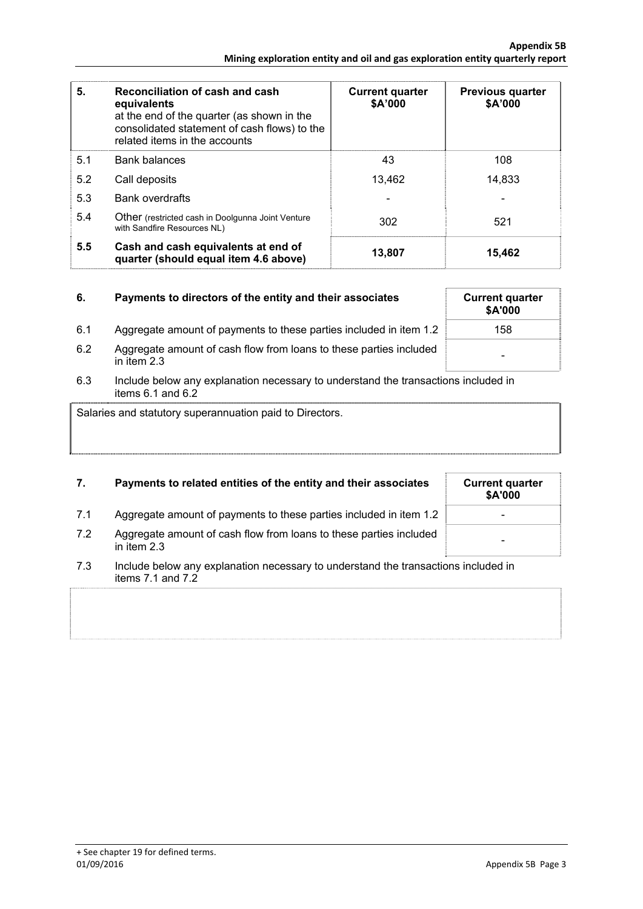| 5.  | Reconciliation of cash and cash<br>equivalents<br>at the end of the quarter (as shown in the<br>consolidated statement of cash flows) to the<br>related items in the accounts | <b>Current quarter</b><br>\$A'000 | <b>Previous quarter</b><br>\$A'000 |
|-----|-------------------------------------------------------------------------------------------------------------------------------------------------------------------------------|-----------------------------------|------------------------------------|
| 5.1 | <b>Bank balances</b>                                                                                                                                                          | 43                                | 108                                |
| 5.2 | Call deposits                                                                                                                                                                 | 13,462                            | 14,833                             |
| 5.3 | <b>Bank overdrafts</b>                                                                                                                                                        |                                   |                                    |
| 5.4 | <b>Other</b> (restricted cash in Doolgunna Joint Venture<br>with Sandfire Resources NL)                                                                                       | 302                               | 521                                |
| 5.5 | Cash and cash equivalents at end of<br>quarter (should equal item 4.6 above)                                                                                                  | 13,807                            | 15,462                             |

| 6.  | Payments to directors of the entity and their associates                            | <b>Current quarter</b><br>\$A'000 |
|-----|-------------------------------------------------------------------------------------|-----------------------------------|
| 6.1 | Aggregate amount of payments to these parties included in item 1.2                  | 158                               |
| 6.2 | Aggregate amount of cash flow from loans to these parties included<br>in item $2.3$ | -                                 |

6.3 Include below any explanation necessary to understand the transactions included in items  $6.1$  and  $6.2$ 

Salaries and statutory superannuation paid to Directors.

# **7.** Payments to related entities of the entity and their associates

- 7.1 Aggregate amount of payments to these parties included in item 1.2
- 7.2 Aggregate amount of cash flow from loans to these parties included in item 2.3 -
- 7.3 Include below any explanation necessary to understand the transactions included in items 7.1 and 7.2

| <b>Current quarter</b><br>\$A'000 |  |
|-----------------------------------|--|
|                                   |  |
|                                   |  |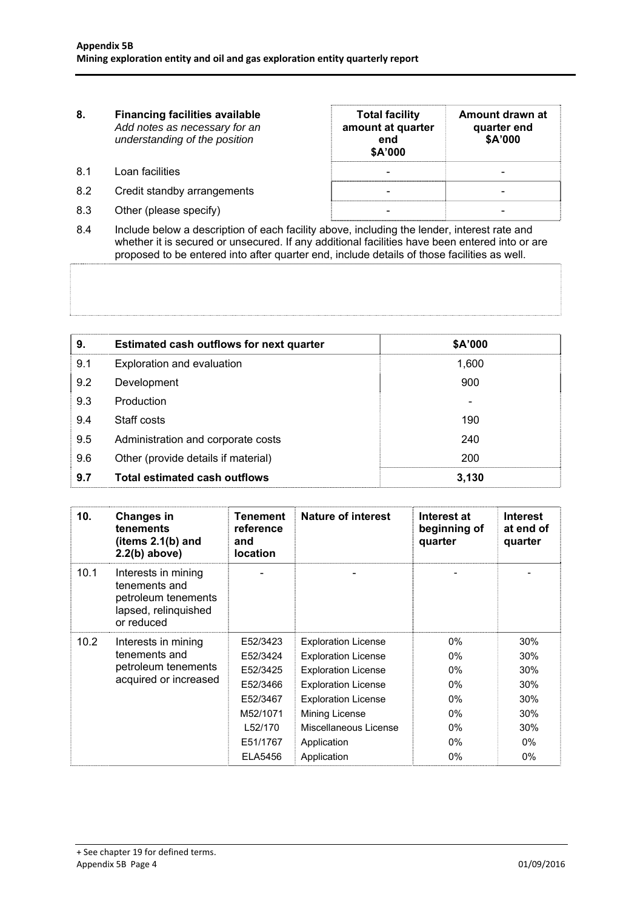| 8.  | <b>Financing facilities available</b><br>Add notes as necessary for an<br>understanding of the position | <b>Total facility</b><br>amount at quarter<br>end<br>\$A'000 | Amount drawn at<br>quarter end<br>\$A'000 |
|-----|---------------------------------------------------------------------------------------------------------|--------------------------------------------------------------|-------------------------------------------|
| 8.1 | Loan facilities                                                                                         |                                                              |                                           |
| 8.2 | Credit standby arrangements                                                                             |                                                              |                                           |
| 8.3 | Other (please specify)                                                                                  |                                                              |                                           |

8.4 Include below a description of each facility above, including the lender, interest rate and whether it is secured or unsecured. If any additional facilities have been entered into or are proposed to be entered into after quarter end, include details of those facilities as well.

| 9.  | Estimated cash outflows for next quarter | \$A'000    |
|-----|------------------------------------------|------------|
| 9.1 | Exploration and evaluation               | 1,600      |
| 9.2 | Development                              | 900        |
| 9.3 | Production                               | -          |
| 9.4 | Staff costs                              | 190        |
| 9.5 | Administration and corporate costs       | 240        |
| 9.6 | Other (provide details if material)      | <b>200</b> |
| 9.7 | <b>Total estimated cash outflows</b>     | 3,130      |

| 10.  | <b>Changes in</b><br>tenements<br>(items $2.1(b)$ and<br>$2.2(b)$ above)                          | Tenement<br>reference<br>and<br><b>location</b> | Nature of interest         | Interest at<br>beginning of<br>quarter | <b>Interest</b><br>at end of<br>quarter |
|------|---------------------------------------------------------------------------------------------------|-------------------------------------------------|----------------------------|----------------------------------------|-----------------------------------------|
| 10.1 | Interests in mining<br>tenements and<br>petroleum tenements<br>lapsed, relinquished<br>or reduced |                                                 |                            |                                        |                                         |
| 10.2 | Interests in mining                                                                               | E52/3423                                        | <b>Exploration License</b> | $0\%$                                  | 30%                                     |
|      | tenements and<br>petroleum tenements<br>acquired or increased                                     | E52/3424                                        | <b>Exploration License</b> | 0%                                     | 30%                                     |
|      |                                                                                                   | E52/3425                                        | <b>Exploration License</b> | 0%                                     | 30%                                     |
|      |                                                                                                   | E52/3466                                        | <b>Exploration License</b> | $0\%$                                  | 30%                                     |
|      |                                                                                                   | E52/3467                                        | <b>Exploration License</b> | $0\%$                                  | 30%                                     |
|      |                                                                                                   | M52/1071                                        | Mining License             | $0\%$                                  | 30%                                     |
|      |                                                                                                   | L52/170                                         | Miscellaneous License      | 0%                                     | 30%                                     |
|      |                                                                                                   | E51/1767                                        | Application                | 0%                                     | $0\%$                                   |
|      |                                                                                                   | ELA5456                                         | Application                | $0\%$                                  | $0\%$                                   |